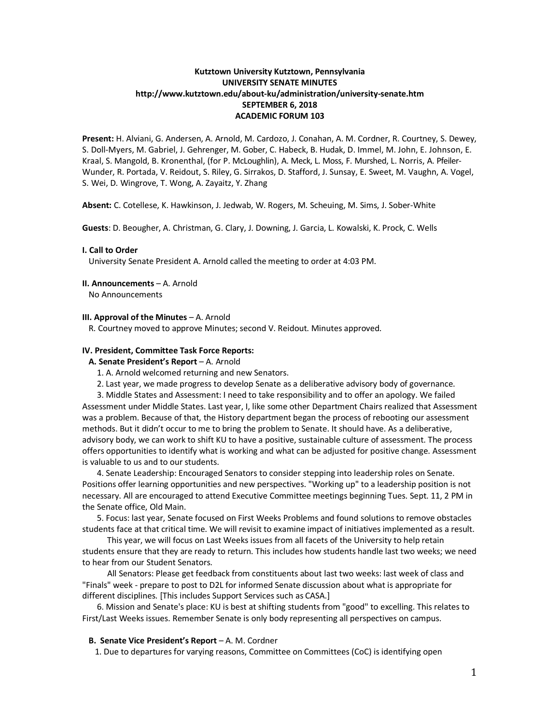# **Kutztown University Kutztown, Pennsylvania UNIVERSITY SENATE MINUTES http://www.kutztown.edu/about-ku/administration/university-senate.htm SEPTEMBER 6, 2018 ACADEMIC FORUM 103**

**Present:** H. Alviani, G. Andersen, A. Arnold, M. Cardozo, J. Conahan, A. M. Cordner, R. Courtney, S. Dewey, S. Doll-Myers, M. Gabriel, J. Gehrenger, M. Gober, C. Habeck, B. Hudak, D. Immel, M. John, E. Johnson, E. Kraal, S. Mangold, B. Kronenthal, (for P. McLoughlin), A. Meck, L. Moss, F. Murshed, L. Norris, A. Pfeiler-Wunder, R. Portada, V. Reidout, S. Riley, G. Sirrakos, D. Stafford, J. Sunsay, E. Sweet, M. Vaughn, A. Vogel, S. Wei, D. Wingrove, T. Wong, A. Zayaitz, Y. Zhang

**Absent:** C. Cotellese, K. Hawkinson, J. Jedwab, W. Rogers, M. Scheuing, M. Sims, J. Sober-White

**Guests**: D. Beougher, A. Christman, G. Clary, J. Downing, J. Garcia, L. Kowalski, K. Prock, C. Wells

#### **I. Call to Order**

University Senate President A. Arnold called the meeting to order at 4:03 PM.

#### **II. Announcements** – A. Arnold No Announcements

#### **III. Approval of the Minutes** – A. Arnold

R. Courtney moved to approve Minutes; second V. Reidout. Minutes approved.

## **IV. President, Committee Task Force Reports:**

**A. Senate President's Report** – A. Arnold

- 1. A. Arnold welcomed returning and new Senators.
- 2. Last year, we made progress to develop Senate as a deliberative advisory body of governance.

3. Middle States and Assessment: I need to take responsibility and to offer an apology. We failed Assessment under Middle States. Last year, I, like some other Department Chairs realized that Assessment was a problem. Because of that, the History department began the process of rebooting our assessment methods. But it didn't occur to me to bring the problem to Senate. It should have. As a deliberative, advisory body, we can work to shift KU to have a positive, sustainable culture of assessment. The process offers opportunities to identify what is working and what can be adjusted for positive change. Assessment is valuable to us and to our students.

4. Senate Leadership: Encouraged Senators to consider stepping into leadership roles on Senate. Positions offer learning opportunities and new perspectives. "Working up" to a leadership position is not necessary. All are encouraged to attend Executive Committee meetings beginning Tues. Sept. 11, 2 PM in the Senate office, Old Main.

5. Focus: last year, Senate focused on First Weeks Problems and found solutions to remove obstacles students face at that critical time. We will revisit to examine impact of initiatives implemented as a result.

 This year, we will focus on Last Weeks issues from all facets of the University to help retain students ensure that they are ready to return. This includes how students handle last two weeks; we need to hear from our Student Senators.

 All Senators: Please get feedback from constituents about last two weeks: last week of class and "Finals" week - prepare to post to D2L for informed Senate discussion about what is appropriate for different disciplines. [This includes Support Services such as CASA.]

6. Mission and Senate's place: KU is best at shifting students from "good" to excelling. This relates to First/Last Weeks issues. Remember Senate is only body representing all perspectives on campus.

### **B. Senate Vice President's Report** – A. M. Cordner

1. Due to departures for varying reasons, Committee on Committees (CoC) is identifying open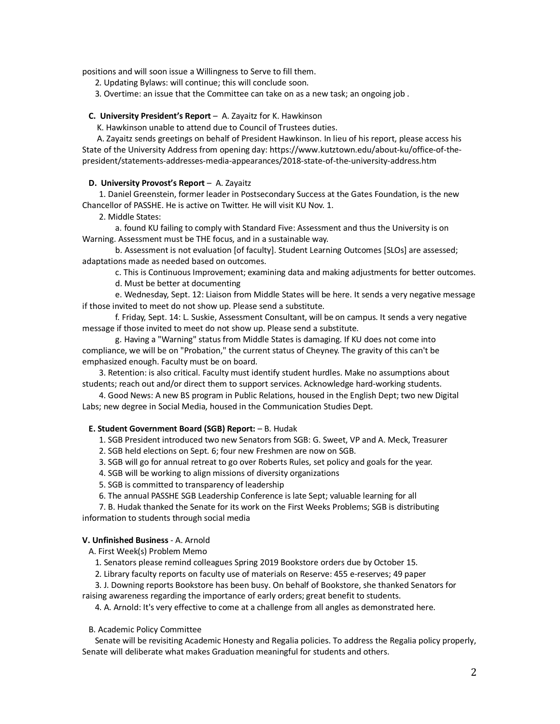positions and will soon issue a Willingness to Serve to fill them.

2. Updating Bylaws: will continue; this will conclude soon.

3. Overtime: an issue that the Committee can take on as a new task; an ongoing job .

### **C. University President's Report** – A. Zayaitz for K. Hawkinson

K. Hawkinson unable to attend due to Council of Trustees duties.

 A. Zayaitz sends greetings on behalf of President Hawkinson. In lieu of his report, please access his State of the University Address from opening day: https://www.kutztown.edu/about-ku/office-of-thepresident/statements-addresses-media-appearances/2018-state-of-the-university-address.htm

### **D. University Provost's Report** – A. Zayaitz

 1. Daniel Greenstein, former leader in Postsecondary Success at the Gates Foundation, is the new Chancellor of PASSHE. He is active on Twitter. He will visit KU Nov. 1.

2. Middle States:

a. found KU failing to comply with Standard Five: Assessment and thus the University is on Warning. Assessment must be THE focus, and in a sustainable way.

b. Assessment is not evaluation [of faculty]. Student Learning Outcomes [SLOs] are assessed; adaptations made as needed based on outcomes.

c. This is Continuous Improvement; examining data and making adjustments for better outcomes. d. Must be better at documenting

e. Wednesday, Sept. 12: Liaison from Middle States will be here. It sends a very negative message if those invited to meet do not show up. Please send a substitute.

f. Friday, Sept. 14: L. Suskie, Assessment Consultant, will be on campus. It sends a very negative message if those invited to meet do not show up. Please send a substitute.

g. Having a "Warning" status from Middle States is damaging. If KU does not come into compliance, we will be on "Probation," the current status of Cheyney. The gravity of this can't be emphasized enough. Faculty must be on board.

 3. Retention: is also critical. Faculty must identify student hurdles. Make no assumptions about students; reach out and/or direct them to support services. Acknowledge hard-working students.

 4. Good News: A new BS program in Public Relations, housed in the English Dept; two new Digital Labs; new degree in Social Media, housed in the Communication Studies Dept.

## **E. Student Government Board (SGB) Report:** – B. Hudak

1. SGB President introduced two new Senators from SGB: G. Sweet, VP and A. Meck, Treasurer

2. SGB held elections on Sept. 6; four new Freshmen are now on SGB.

3. SGB will go for annual retreat to go over Roberts Rules, set policy and goals for the year.

4. SGB will be working to align missions of diversity organizations

5. SGB is committed to transparency of leadership

6. The annual PASSHE SGB Leadership Conference is late Sept; valuable learning for all

 7. B. Hudak thanked the Senate for its work on the First Weeks Problems; SGB is distributing information to students through social media

## **V. Unfinished Business** - A. Arnold

A. First Week(s) Problem Memo

1. Senators please remind colleagues Spring 2019 Bookstore orders due by October 15.

2. Library faculty reports on faculty use of materials on Reserve: 455 e-reserves; 49 paper

 3. J. Downing reports Bookstore has been busy. On behalf of Bookstore, she thanked Senators for raising awareness regarding the importance of early orders; great benefit to students.

4. A. Arnold: It's very effective to come at a challenge from all angles as demonstrated here.

### B. Academic Policy Committee

 Senate will be revisiting Academic Honesty and Regalia policies. To address the Regalia policy properly, Senate will deliberate what makes Graduation meaningful for students and others.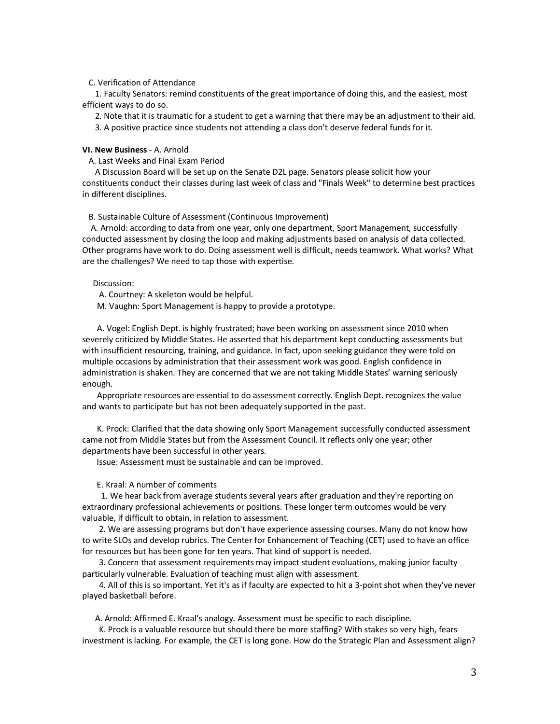### C. Verification of Attendance

 1. Faculty Senators: remind constituents of the great importance of doing this, and the easiest, most efficient ways to do so.

2. Note that it is traumatic for a student to get a warning that there may be an adjustment to their aid.

3. A positive practice since students not attending a class don't deserve federal funds for it.

## **VI. New Business** - A. Arnold

A. Last Weeks and Final Exam Period

 A Discussion Board will be set up on the Senate D2L page. Senators please solicit how your constituents conduct their classes during last week of class and "Finals Week" to determine best practices in different disciplines.

B. Sustainable Culture of Assessment (Continuous Improvement)

 A. Arnold: according to data from one year, only one department, Sport Management, successfully conducted assessment by closing the loop and making adjustments based on analysis of data collected. Other programs have work to do. Doing assessment well is difficult, needs teamwork. What works? What are the challenges? We need to tap those with expertise.

## Discussion:

A. Courtney: A skeleton would be helpful.

M. Vaughn: Sport Management is happy to provide a prototype.

 A. Vogel: English Dept. is highly frustrated; have been working on assessment since 2010 when severely criticized by Middle States. He asserted that his department kept conducting assessments but with insufficient resourcing, training, and guidance. In fact, upon seeking guidance they were told on multiple occasions by administration that their assessment work was good. English confidence in administration is shaken. They are concerned that we are not taking Middle States' warning seriously enough.

Appropriate resources are essential to do assessment correctly. English Dept. recognizes the value and wants to participate but has not been adequately supported in the past.

 K. Prock: Clarified that the data showing only Sport Management successfully conducted assessment came not from Middle States but from the Assessment Council. It reflects only one year; other departments have been successful in other years.

Issue: Assessment must be sustainable and can be improved.

#### E. Kraal: A number of comments

 1. We hear back from average students several years after graduation and they're reporting on extraordinary professional achievements or positions. These longer term outcomes would be very valuable, if difficult to obtain, in relation to assessment.

 2. We are assessing programs but don't have experience assessing courses. Many do not know how to write SLOs and develop rubrics. The Center for Enhancement of Teaching (CET) used to have an office for resources but has been gone for ten years. That kind of support is needed.

 3. Concern that assessment requirements may impact student evaluations, making junior faculty particularly vulnerable. Evaluation of teaching must align with assessment.

 4. All of this is so important. Yet it's as if faculty are expected to hit a 3-point shot when they've never played basketball before.

A. Arnold: Affirmed E. Kraal's analogy. Assessment must be specific to each discipline.

 K. Prock is a valuable resource but should there be more staffing? With stakes so very high, fears investment is lacking. For example, the CET is long gone. How do the Strategic Plan and Assessment align?